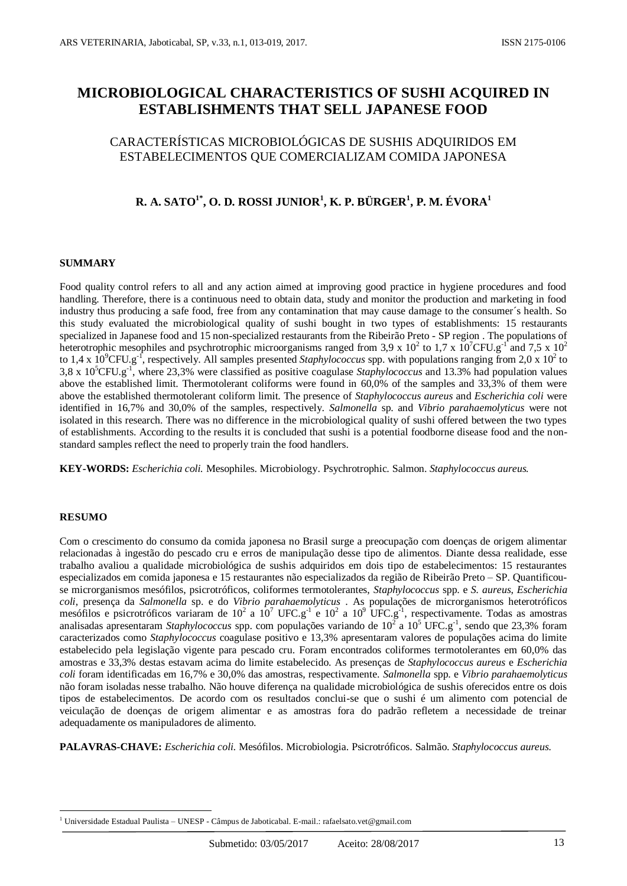# **MICROBIOLOGICAL CHARACTERISTICS OF SUSHI ACQUIRED IN ESTABLISHMENTS THAT SELL JAPANESE FOOD**

### CARACTERÍSTICAS MICROBIOLÓGICAS DE SUSHIS ADQUIRIDOS EM ESTABELECIMENTOS QUE COMERCIALIZAM COMIDA JAPONESA

## **R. A. SATO1\* , O. D. ROSSI JUNIOR<sup>1</sup> , K. P. BÜRGER<sup>1</sup> , P. M. ÉVORA<sup>1</sup>**

#### **SUMMARY**

Food quality control refers to all and any action aimed at improving good practice in hygiene procedures and food handling. Therefore, there is a continuous need to obtain data, study and monitor the production and marketing in food industry thus producing a safe food, free from any contamination that may cause damage to the consumer´s health. So this study evaluated the microbiological quality of sushi bought in two types of establishments: 15 restaurants specialized in Japanese food and 15 non-specialized restaurants from the Ribeirão Preto - SP region . The populations of heterotrophic mesophiles and psychrotrophic microorganisms ranged from 3,9 x 10<sup>2</sup> to 1,7 x 10<sup>7</sup>CFU.g<sup>-1</sup> and 7,5 x 10<sup>2</sup> to 1,4 x  $10^9$ CFU.g<sup>-f</sup>, respectively. All samples presented *Staphylococcus* spp. with populations ranging from 2,0 x 10<sup>2</sup> to 3,8 x 10<sup>5</sup>CFU.g-1 , where 23,3% were classified as positive coagulase *Staphylococcus* and 13.3% had population values above the established limit. Thermotolerant coliforms were found in 60,0% of the samples and 33,3% of them were above the established thermotolerant coliform limit. The presence of *Staphylococcus aureus* and *Escherichia coli* were identified in 16,7% and 30,0% of the samples, respectively. *Salmonella* sp. and *Vibrio parahaemolyticus* were not isolated in this research. There was no difference in the microbiological quality of sushi offered between the two types of establishments. According to the results it is concluded that sushi is a potential foodborne disease food and the nonstandard samples reflect the need to properly train the food handlers.

**KEY-WORDS:** *Escherichia coli.* Mesophiles. Microbiology. Psychrotrophic. Salmon. *Staphylococcus aureus.*

#### **RESUMO**

<u>.</u>

Com o crescimento do consumo da comida japonesa no Brasil surge a preocupação com doenças de origem alimentar relacionadas à ingestão do pescado cru e erros de manipulação desse tipo de alimentos. Diante dessa realidade, esse trabalho avaliou a qualidade microbiológica de sushis adquiridos em dois tipo de estabelecimentos: 15 restaurantes especializados em comida japonesa e 15 restaurantes não especializados da região de Ribeirão Preto – SP. Quantificouse microrganismos mesófilos, psicrotróficos, coliformes termotolerantes, *Staphylococcus* spp. e *S. aureus*, *Escherichia coli,* presença da *Salmonella* sp. e do *Vibrio parahaemolyticus* . As populações de microrganismos heterotróficos mesófilos e psicrotróficos variaram de 10<sup>2</sup> a 10<sup>7</sup> UFC.g<sup>-1</sup> e 10<sup>2</sup> a 10<sup>9</sup> UFC.g<sup>-1</sup>, respectivamente. Todas as amostras analisadas apresentaram *Staphylococcus* spp. com populações variando de  $10^2$  a  $10^5$  UFC.g<sup>-1</sup>, sendo que 23,3% foram caracterizados como *Staphylococcus* coagulase positivo e 13,3% apresentaram valores de populações acima do limite estabelecido pela legislação vigente para pescado cru. Foram encontrados coliformes termotolerantes em 60,0% das amostras e 33,3% destas estavam acima do limite estabelecido. As presenças de *Staphylococcus aureus* e *Escherichia coli* foram identificadas em 16,7% e 30,0% das amostras, respectivamente. *Salmonella* spp. e *Vibrio parahaemolyticus* não foram isoladas nesse trabalho. Não houve diferença na qualidade microbiológica de sushis oferecidos entre os dois tipos de estabelecimentos. De acordo com os resultados conclui-se que o sushi é um alimento com potencial de veiculação de doenças de origem alimentar e as amostras fora do padrão refletem a necessidade de treinar adequadamente os manipuladores de alimento.

**PALAVRAS-CHAVE:** *Escherichia coli.* Mesófilos. Microbiologia. Psicrotróficos. Salmão. *Staphylococcus aureus.*

<sup>&</sup>lt;sup>1</sup> Universidade Estadual Paulista – UNESP - Câmpus de Jaboticabal. E-mail.: rafaelsato.vet@gmail.com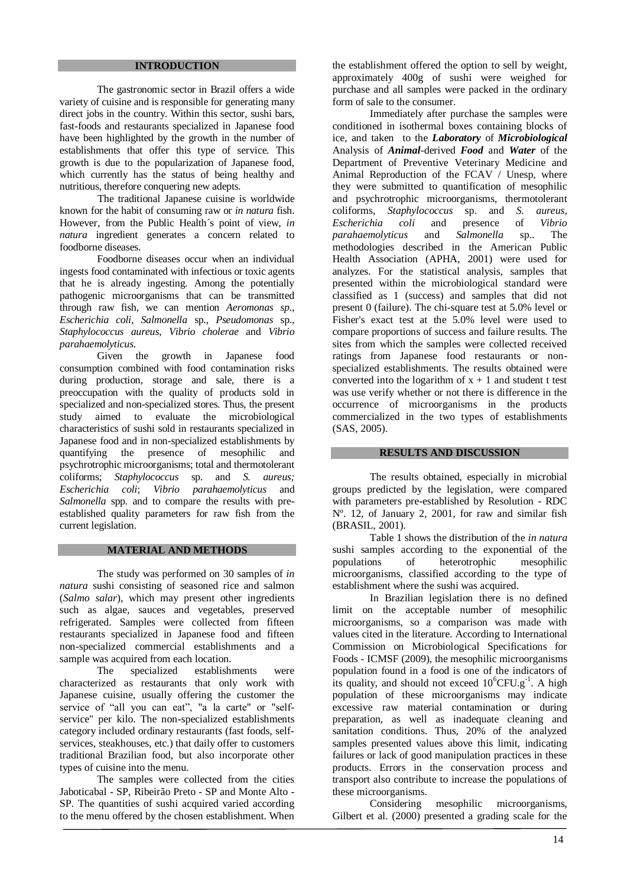### **INTRODUCTION**

The gastronomic sector in Brazil offers a wide variety of cuisine and is responsible for generating many direct jobs in the country. Within this sector, sushi bars, fast-foods and restaurants specialized in Japanese food have been highlighted by the growth in the number of establishments that offer this type of service. This growth is due to the popularization of Japanese food, which currently has the status of being healthy and nutritious, therefore conquering new adepts.

The traditional Japanese cuisine is worldwide known for the habit of consuming raw or *in natura* fish. However, from the Public Health´s point of view, *in natura* ingredient generates a concern related to foodborne diseases.

Foodborne diseases occur when an individual ingests food contaminated with infectious or toxic agents that he is already ingesting. Among the potentially pathogenic microorganisms that can be transmitted through raw fish, we can mention *Aeromonas sp*., *Escherichia coli*, *Salmonella* sp., *Pseudomonas* sp., *Staphylococcus aureus*, *Vibrio cholerae* and *Vibrio parahaemolyticus*.

Given the growth in Japanese food consumption combined with food contamination risks during production, storage and sale, there is a preoccupation with the quality of products sold in specialized and non-specialized stores. Thus, the present study aimed to evaluate the microbiological characteristics of sushi sold in restaurants specialized in Japanese food and in non-specialized establishments by quantifying the presence of mesophilic and psychrotrophic microorganisms; total and thermotolerant coliforms; *Staphylococcus* sp. and *S. aureus; Escherichia coli*; *Vibrio parahaemolyticus* and *Salmonella* spp. and to compare the results with preestablished quality parameters for raw fish from the current legislation.

#### **MATERIAL AND METHODS**

The study was performed on 30 samples of *in natura* sushi consisting of seasoned rice and salmon (*Salmo salar*), which may present other ingredients such as algae, sauces and vegetables, preserved refrigerated. Samples were collected from fifteen restaurants specialized in Japanese food and fifteen non-specialized commercial establishments and a sample was acquired from each location.

The specialized establishments were characterized as restaurants that only work with Japanese cuisine, usually offering the customer the service of "all you can eat", "a la carte" or "selfservice" per kilo. The non-specialized establishments category included ordinary restaurants (fast foods, selfservices, steakhouses, etc.) that daily offer to customers traditional Brazilian food, but also incorporate other types of cuisine into the menu.

The samples were collected from the cities Jaboticabal - SP, Ribeirão Preto - SP and Monte Alto - SP. The quantities of sushi acquired varied according to the menu offered by the chosen establishment. When

the establishment offered the option to sell by weight, approximately 400g of sushi were weighed for purchase and all samples were packed in the ordinary form of sale to the consumer.

Immediately after purchase the samples were conditioned in isothermal boxes containing blocks of ice, and taken to the *Laboratory* of *Microbiological*  Analysis of *Animal-*derived *Food* and *Water* of the Department of Preventive Veterinary Medicine and Animal Reproduction of the FCAV / Unesp, where they were submitted to quantification of mesophilic and psychrotrophic microorganisms, thermotolerant coliforms, *Staphylococcus* sp. and *S. aureus*, *Escherichia coli* and presence of *Vibrio parahaemolyticus* and *Salmonella* sp.. The methodologies described in the American Public Health Association (APHA, 2001) were used for analyzes. For the statistical analysis, samples that presented within the microbiological standard were classified as 1 (success) and samples that did not present 0 (failure). The chi-square test at 5.0% level or Fisher's exact test at the 5.0% level were used to compare proportions of success and failure results. The sites from which the samples were collected received ratings from Japanese food restaurants or nonspecialized establishments. The results obtained were converted into the logarithm of  $x + 1$  and student t test was use verify whether or not there is difference in the occurrence of microorganisms in the products commercialized in the two types of establishments (SAS, 2005).

#### **RESULTS AND DISCUSSION**

The results obtained, especially in microbial groups predicted by the legislation, were compared with parameters pre-established by Resolution - RDC Nº. 12, of January 2, 2001, for raw and similar fish (BRASIL, 2001).

Table 1 shows the distribution of the *in natura* sushi samples according to the exponential of the populations of heterotrophic mesophilic microorganisms, classified according to the type of establishment where the sushi was acquired.

In Brazilian legislation there is no defined limit on the acceptable number of mesophilic microorganisms, so a comparison was made with values cited in the literature. According to International Commission on Microbiological Specifications for Foods - ICMSF (2009), the mesophilic microorganisms population found in a food is one of the indicators of its quality, and should not exceed  $10^6$ CFU.g<sup>-1</sup>. A high population of these microorganisms may indicate excessive raw material contamination or during preparation, as well as inadequate cleaning and sanitation conditions. Thus, 20% of the analyzed samples presented values above this limit, indicating failures or lack of good manipulation practices in these products. Errors in the conservation process and transport also contribute to increase the populations of these microorganisms.

Considering mesophilic microorganisms, Gilbert et al. (2000) presented a grading scale for the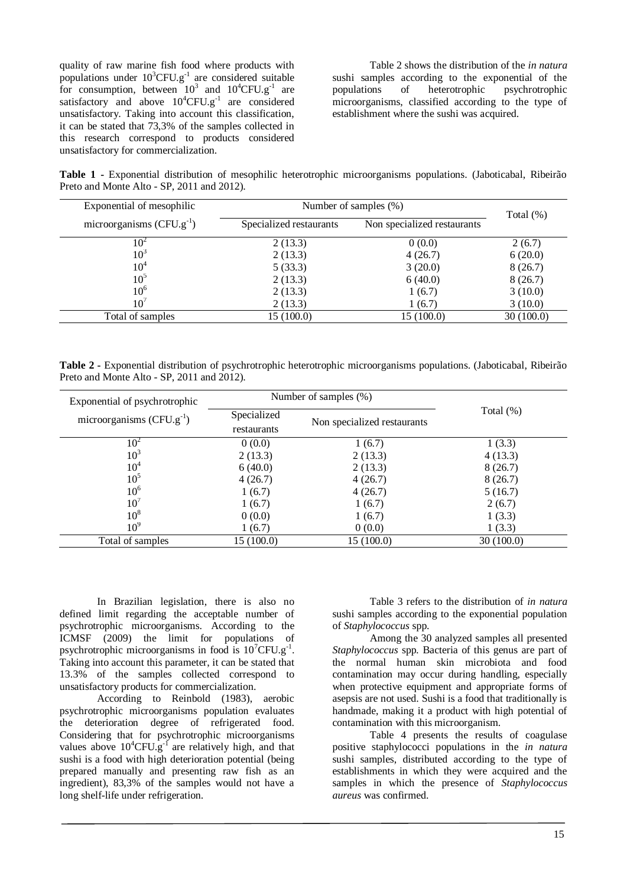quality of raw marine fish food where products with populations under  $10^3$ CFU.g<sup>-1</sup> are considered suitable for consumption, between  $10^3$  and  $10^4$ CFU.g<sup>-1</sup> are satisfactory and above  $10^4$ CFU.g<sup>-1</sup> are considered unsatisfactory. Taking into account this classification, it can be stated that 73,3% of the samples collected in this research correspond to products considered unsatisfactory for commercialization.

Table 2 shows the distribution of the *in natura* sushi samples according to the exponential of the populations of heterotrophic psychrotrophic microorganisms, classified according to the type of establishment where the sushi was acquired.

**Table 1 -** Exponential distribution of mesophilic heterotrophic microorganisms populations. (Jaboticabal, Ribeirão Preto and Monte Alto - SP, 2011 and 2012).

| Exponential of mesophilic     | Number of samples (%)   |                             |              |
|-------------------------------|-------------------------|-----------------------------|--------------|
| microorganisms $(CFU.g^{-1})$ | Specialized restaurants | Non specialized restaurants | Total $(\%)$ |
| 10 <sup>2</sup>               | 2(13.3)                 | 0(0.0)                      | 2(6.7)       |
| 10 <sup>3</sup>               | 2(13.3)                 | 4(26.7)                     | 6(20.0)      |
| $10^4$                        | 5(33.3)                 | 3(20.0)                     | 8(26.7)      |
| 10 <sup>5</sup>               | 2(13.3)                 | 6(40.0)                     | 8(26.7)      |
| 10 <sup>6</sup>               | 2(13.3)                 | 1(6.7)                      | 3(10.0)      |
| 10 <sup>7</sup>               | 2(13.3)                 | 1(6.7)                      | 3(10.0)      |
| Total of samples              | 15(100.0)               | 15(100.0)                   | 30(100.0)    |

**Table 2 -** Exponential distribution of psychrotrophic heterotrophic microorganisms populations. (Jaboticabal, Ribeirão Preto and Monte Alto - SP, 2011 and 2012).

| Exponential of psychrotrophic |             | Number of samples $(\%)$    |              |
|-------------------------------|-------------|-----------------------------|--------------|
| microorganisms $(CFU.g^{-1})$ | Specialized | Non specialized restaurants | Total $(\%)$ |
|                               | restaurants |                             |              |
| $10^2$                        | 0(0.0)      | 1(6.7)                      | 1(3.3)       |
| 10 <sup>3</sup>               | 2(13.3)     | 2(13.3)                     | 4(13.3)      |
| 10 <sup>4</sup>               | 6(40.0)     | 2(13.3)                     | 8(26.7)      |
| 10 <sup>5</sup>               | 4(26.7)     | 4(26.7)                     | 8(26.7)      |
| 10 <sup>6</sup>               | 1(6.7)      | 4(26.7)                     | 5(16.7)      |
| 10 <sup>7</sup>               | 1(6.7)      | 1(6.7)                      | 2(6.7)       |
| 10 <sup>8</sup>               | 0(0.0)      | 1(6.7)                      | 1(3.3)       |
| 10 <sup>9</sup>               | 1(6.7)      | 0(0.0)                      | 1(3.3)       |
| Total of samples              | 15 (100.0)  | 15 (100.0)                  | 30(100.0)    |

In Brazilian legislation, there is also no defined limit regarding the acceptable number of psychrotrophic microorganisms. According to the ICMSF (2009) the limit for populations of psychrotrophic microorganisms in food is  $10^7$ CFU.g<sup>-1</sup>. Taking into account this parameter, it can be stated that 13.3% of the samples collected correspond to unsatisfactory products for commercialization.

According to Reinbold (1983), aerobic psychrotrophic microorganisms population evaluates the deterioration degree of refrigerated food. Considering that for psychrotrophic microorganisms values above  $10^4$ CFU.g<sup>-1</sup> are relatively high, and that sushi is a food with high deterioration potential (being prepared manually and presenting raw fish as an ingredient), 83,3% of the samples would not have a long shelf-life under refrigeration.

Table 3 refers to the distribution of *in natura* sushi samples according to the exponential population of *Staphylococcus* spp.

Among the 30 analyzed samples all presented *Staphylococcus* spp*.* Bacteria of this genus are part of the normal human skin microbiota and food contamination may occur during handling, especially when protective equipment and appropriate forms of asepsis are not used. Sushi is a food that traditionally is handmade, making it a product with high potential of contamination with this microorganism.

Table 4 presents the results of coagulase positive staphylococci populations in the *in natura*  sushi samples, distributed according to the type of establishments in which they were acquired and the samples in which the presence of *Staphylococcus aureus* was confirmed.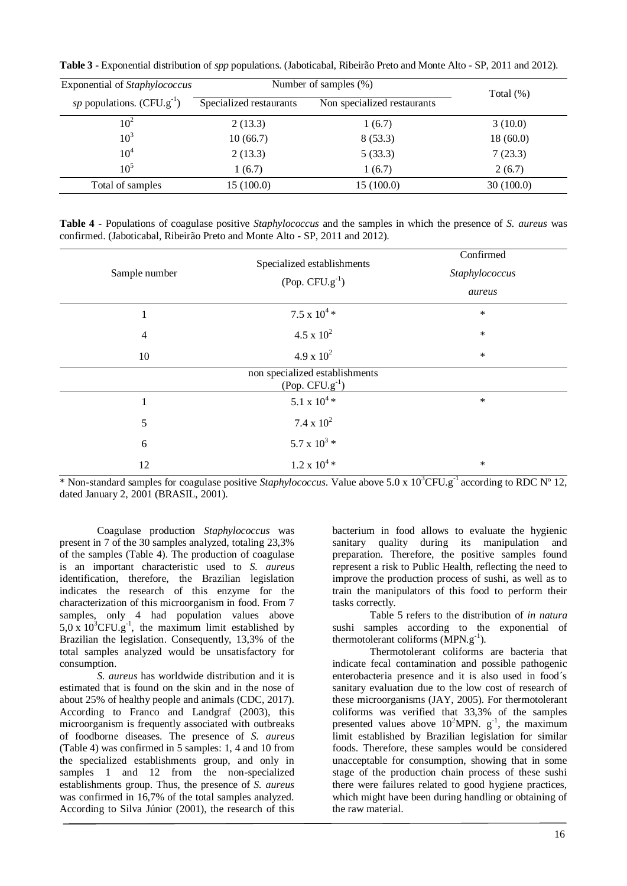**Table 3 -** Exponential distribution of *spp* populations. (Jaboticabal, Ribeirão Preto and Monte Alto - SP, 2011 and 2012).

| Exponential of Staphylococcus  |                         | Number of samples (%)       |              |
|--------------------------------|-------------------------|-----------------------------|--------------|
| sp populations. $(CFU.g^{-1})$ | Specialized restaurants | Non specialized restaurants | Total $(\%)$ |
| 10 <sup>2</sup>                | 2(13.3)                 | 1(6.7)                      | 3(10.0)      |
| 10 <sup>3</sup>                | 10(66.7)                | 8(53.3)                     | 18(60.0)     |
| 10 <sup>4</sup>                | 2(13.3)                 | 5(33.3)                     | 7(23.3)      |
| $10^5$                         | 1(6.7)                  | 1(6.7)                      | 2(6.7)       |
| Total of samples               | 15(100.0)               | 15 (100.0)                  | 30(100.0)    |

|  |  | Table 4 - Populations of coagulase positive <i>Staphylococcus</i> and the samples in which the presence of <i>S. aureus</i> was |  |  |  |  |
|--|--|---------------------------------------------------------------------------------------------------------------------------------|--|--|--|--|
|  |  | confirmed. (Jaboticabal, Ribeirão Preto and Monte Alto - SP, 2011 and 2012).                                                    |  |  |  |  |

| Sample number  | Specialized establishments<br>$(Pop. CFU.g-1)$         | Confirmed<br>Staphylococcus<br>aureus |
|----------------|--------------------------------------------------------|---------------------------------------|
| $\mathbf{1}$   | $7.5 \times 10^{4} *$                                  | $\ast$                                |
| $\overline{4}$ | $4.5 \times 10^{2}$                                    | $\ast$                                |
| 10             | $4.9 \times 10^{2}$                                    | $\ast$                                |
|                | non specialized establishments<br>(Pop. $CFU.g^{-1}$ ) |                                       |
| 1              | 5.1 x $10^{4}$ *                                       | $\ast$                                |
| 5              | $7.4 \times 10^2$                                      |                                       |
| 6              | 5.7 x $10^3$ *                                         |                                       |
| 12             | $1.2 \times 10^{4} *$                                  | $\ast$                                |

\* Non-standard samples for coagulase positive *Staphylococcus*. Value above 5.0 x 10<sup>3</sup>CFU.g-1 according to RDC Nº 12, dated January 2, 2001 (BRASIL, 2001).

Coagulase production *Staphylococcus* was present in 7 of the 30 samples analyzed, totaling 23,3% of the samples (Table 4). The production of coagulase is an important characteristic used to *S. aureus* identification, therefore, the Brazilian legislation indicates the research of this enzyme for the characterization of this microorganism in food. From 7 samples, only 4 had population values above  $5.0 \times 10^{3}$ CFU.g<sup>-1</sup>, the maximum limit established by Brazilian the legislation. Consequently, 13,3% of the total samples analyzed would be unsatisfactory for consumption.

*S. aureus* has worldwide distribution and it is estimated that is found on the skin and in the nose of about 25% of healthy people and animals (CDC, 2017). According to Franco and Landgraf (2003), this microorganism is frequently associated with outbreaks of foodborne diseases. The presence of *S. aureus* (Table 4) was confirmed in 5 samples: 1, 4 and 10 from the specialized establishments group, and only in samples 1 and 12 from the non-specialized establishments group. Thus, the presence of *S. aureus* was confirmed in 16,7% of the total samples analyzed. According to Silva Júnior (2001), the research of this

bacterium in food allows to evaluate the hygienic sanitary quality during its manipulation and preparation. Therefore, the positive samples found represent a risk to Public Health, reflecting the need to improve the production process of sushi, as well as to train the manipulators of this food to perform their tasks correctly.

Table 5 refers to the distribution of *in natura*  sushi samples according to the exponential of thermotolerant coliforms (MPN.g<sup>-1</sup>).

Thermotolerant coliforms are bacteria that indicate fecal contamination and possible pathogenic enterobacteria presence and it is also used in food´s sanitary evaluation due to the low cost of research of these microorganisms (JAY, 2005). For thermotolerant coliforms was verified that 33,3% of the samples presented values above  $10^2$ MPN.  $g^{-1}$ , the maximum limit established by Brazilian legislation for similar foods. Therefore, these samples would be considered unacceptable for consumption, showing that in some stage of the production chain process of these sushi there were failures related to good hygiene practices, which might have been during handling or obtaining of the raw material.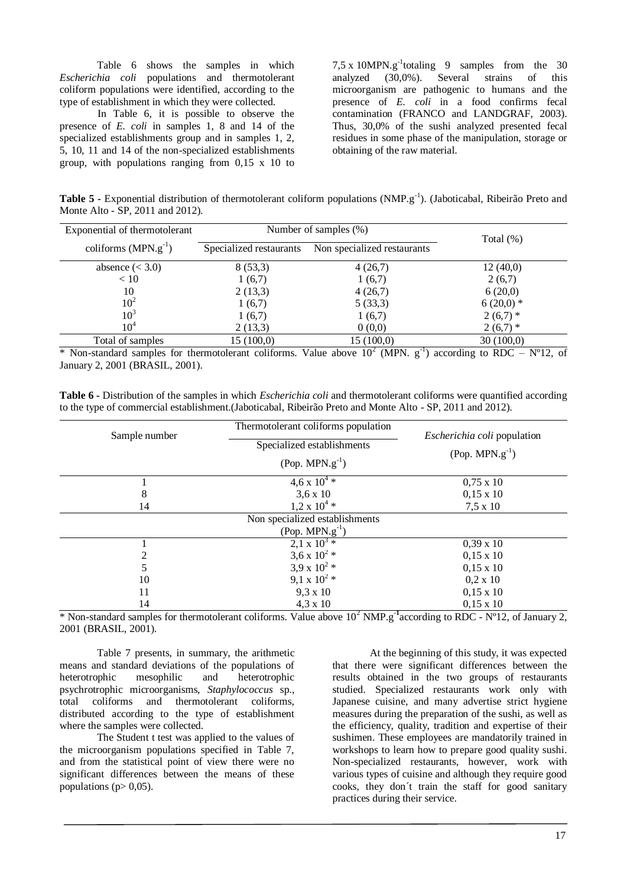Table 6 shows the samples in which *Escherichia coli* populations and thermotolerant coliform populations were identified, according to the type of establishment in which they were collected.

In Table 6, it is possible to observe the presence of *E. coli* in samples 1, 8 and 14 of the specialized establishments group and in samples 1, 2, 5, 10, 11 and 14 of the non-specialized establishments group, with populations ranging from 0,15 x 10 to  $7,5 \times 10$ MPN.g<sup>-1</sup>totaling 9 samples from the 30 analyzed (30,0%). Several strains of this microorganism are pathogenic to humans and the presence of *E. coli* in a food confirms fecal contamination (FRANCO and LANDGRAF, 2003). Thus, 30,0% of the sushi analyzed presented fecal residues in some phase of the manipulation, storage or obtaining of the raw material.

Table 5 - Exponential distribution of thermotolerant coliform populations (NMP.g<sup>-1</sup>). (Jaboticabal, Ribeirão Preto and Monte Alto - SP, 2011 and 2012).

| Exponential of thermotolerant | Number of samples $(\%)$ |                             |              |
|-------------------------------|--------------------------|-----------------------------|--------------|
| coliforms $(MPN.g^{-1})$      | Specialized restaurants  | Non specialized restaurants | Total $(\%)$ |
| absence $(3.0)$               | 8(53,3)                  | 4(26,7)                     | 12(40,0)     |
| < 10                          | 1(6,7)                   | 1(6,7)                      | 2(6,7)       |
| 10                            | 2(13,3)                  | 4(26,7)                     | 6(20,0)      |
| 10 <sup>2</sup>               | 1(6,7)                   | 5(33,3)                     | $6(20,0)*$   |
| 10 <sup>3</sup>               | 1(6,7)                   | 1(6,7)                      | $2(6,7)$ *   |
| $10^4$                        | 2(13,3)                  | 0(0,0)                      | $2(6,7)$ *   |
| Total of samples              | 15(100,0)                | 15(100,0)                   | 30(100,0)    |

\* Non-standard samples for thermotolerant coliforms. Value above  $10^2$  (MPN.  $g^{-1}$ ) according to RDC – N°12, of January 2, 2001 (BRASIL, 2001).

**Table 6 -** Distribution of the samples in which *Escherichia coli* and thermotolerant coliforms were quantified according to the type of commercial establishment.(Jaboticabal, Ribeirão Preto and Monte Alto - SP, 2011 and 2012).

| Sample number                                                   | Thermotolerant coliforms population                                 | <i>Escherichia coli</i> population            |
|-----------------------------------------------------------------|---------------------------------------------------------------------|-----------------------------------------------|
|                                                                 | Specialized establishments                                          | $(Pop. MPN.g^{-1})$                           |
|                                                                 | $(Pop. MPN.g-1)$                                                    |                                               |
|                                                                 | $4.6 \times 10^{4}$                                                 | $0,75 \times 10$                              |
| 8                                                               | $3,6 \times 10$                                                     | $0,15 \times 10$                              |
| 14                                                              | $1,2 \times 10^{4}$ *                                               | $7,5 \times 10$                               |
|                                                                 | Non specialized establishments                                      |                                               |
|                                                                 | $(Pop. MPN.g^{-1})$                                                 |                                               |
|                                                                 | $2, 1 \times 10^{3} *$                                              | $0,39 \times 10$                              |
| 2                                                               | 3,6 x $10^{2}$ *                                                    | $0,15 \times 10$                              |
| 5                                                               | 3,9 x $10^{2}$ *                                                    | $0,15 \times 10$                              |
| 10                                                              | 9,1 x $10^{2}$ *                                                    | $0.2 \times 10$                               |
| 11                                                              | $9.3 \times 10$                                                     | $0,15 \times 10$                              |
| 14                                                              | $4,3 \times 10$                                                     | $0,15 \times 10$                              |
| $\mathbf{A}$ and $\mathbf{A}$<br>$\sim$ $\sim$<br>$\sim$ $\sim$ | $102$ in $\epsilon$ $\sim$ $-1$<br>$\cdots$<br>$-1$<br><b>TTI</b> 1 | $\cdots$<br>$\sim$ $\sim$<br><b>DDC</b> 1701A |

\* Non-standard samples for thermotolerant coliforms. Value above 10<sup>2</sup> NMP.g<sup>-1</sup>according to RDC - N°12, of January 2, 2001 (BRASIL, 2001).

Table 7 presents, in summary, the arithmetic means and standard deviations of the populations of heterotrophic mesophilic and heterotrophic psychrotrophic microorganisms, *Staphylococcus* sp., total coliforms and thermotolerant coliforms, distributed according to the type of establishment where the samples were collected.

The Student t test was applied to the values of the microorganism populations specified in Table 7, and from the statistical point of view there were no significant differences between the means of these populations ( $p > 0.05$ ).

At the beginning of this study, it was expected that there were significant differences between the results obtained in the two groups of restaurants studied. Specialized restaurants work only with Japanese cuisine, and many advertise strict hygiene measures during the preparation of the sushi, as well as the efficiency, quality, tradition and expertise of their sushimen. These employees are mandatorily trained in workshops to learn how to prepare good quality sushi. Non-specialized restaurants, however, work with various types of cuisine and although they require good cooks, they don´t train the staff for good sanitary practices during their service.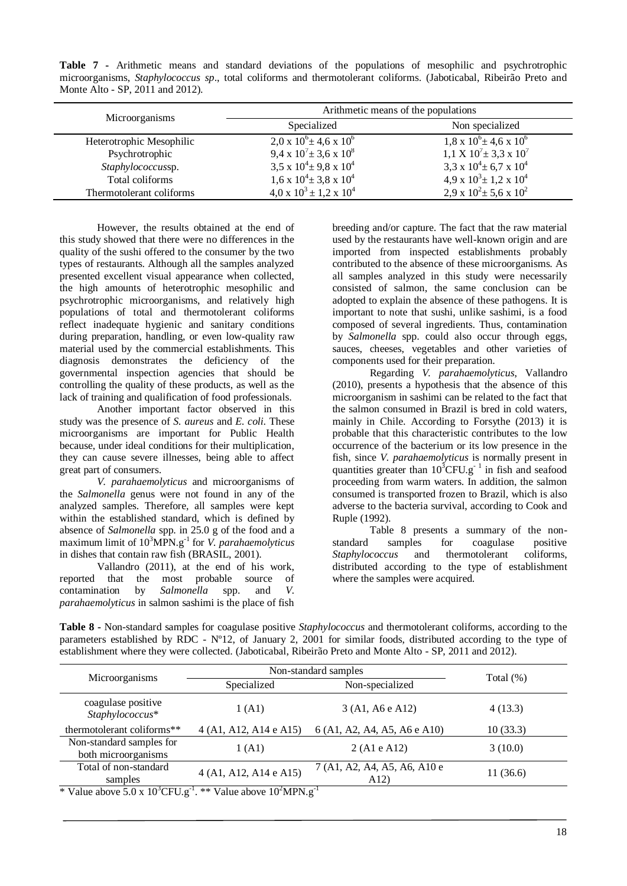**Table 7 -** Arithmetic means and standard deviations of the populations of mesophilic and psychrotrophic microorganisms, *Staphylococcus sp*., total coliforms and thermotolerant coliforms. (Jaboticabal, Ribeirão Preto and Monte Alto - SP, 2011 and 2012).

|                          | Arithmetic means of the populations   |                                               |  |  |  |
|--------------------------|---------------------------------------|-----------------------------------------------|--|--|--|
| Microorganisms           | Specialized                           | Non specialized                               |  |  |  |
| Heterotrophic Mesophilic | $2.0 \times 10^6 \pm 4.6 \times 10^6$ | $1,8 \times 10^6 \pm 4,6 \times 10^6$         |  |  |  |
| Psychrotrophic           | 9,4 x $10^{7} \pm 3.6$ x $10^{8}$     | $1.1 \text{ X } 10^7 \pm 3.3 \text{ X } 10^7$ |  |  |  |
| Staphylococcussp.        | $3.5 \times 10^4 \pm 9.8 \times 10^4$ | 3,3 x $10^4 \pm 6.7$ x $10^4$                 |  |  |  |
| Total coliforms          | $1.6 \times 10^4 \pm 3.8 \times 10^4$ | $4.9 \times 10^3 \pm 1.2 \times 10^4$         |  |  |  |
| Thermotolerant coliforms | $4.0 \times 10^3 \pm 1.2 \times 10^4$ | 2,9 x $10^2 \pm 5.6$ x $10^2$                 |  |  |  |

However, the results obtained at the end of this study showed that there were no differences in the quality of the sushi offered to the consumer by the two types of restaurants. Although all the samples analyzed presented excellent visual appearance when collected, the high amounts of heterotrophic mesophilic and psychrotrophic microorganisms, and relatively high populations of total and thermotolerant coliforms reflect inadequate hygienic and sanitary conditions during preparation, handling, or even low-quality raw material used by the commercial establishments. This diagnosis demonstrates the deficiency of the governmental inspection agencies that should be controlling the quality of these products, as well as the lack of training and qualification of food professionals.

Another important factor observed in this study was the presence of *S. aureus* and *E. coli*. These microorganisms are important for Public Health because, under ideal conditions for their multiplication, they can cause severe illnesses, being able to affect great part of consumers.

*V. parahaemolyticus* and microorganisms of the *Salmonella* genus were not found in any of the analyzed samples. Therefore, all samples were kept within the established standard, which is defined by absence of *Salmonella* spp. in 25.0 g of the food and a maximum limit of 10<sup>3</sup>MPN.g-1 for *V. parahaemolyticus* in dishes that contain raw fish (BRASIL, 2001).

Vallandro (2011), at the end of his work, reported that the most probable source of contamination by *Salmonella* spp. and *V. parahaemolyticus* in salmon sashimi is the place of fish breeding and/or capture. The fact that the raw material used by the restaurants have well-known origin and are imported from inspected establishments probably contributed to the absence of these microorganisms. As all samples analyzed in this study were necessarily consisted of salmon, the same conclusion can be adopted to explain the absence of these pathogens. It is important to note that sushi, unlike sashimi, is a food composed of several ingredients. Thus, contamination by *Salmonella* spp. could also occur through eggs, sauces, cheeses, vegetables and other varieties of components used for their preparation.

Regarding *V. parahaemolyticus*, Vallandro (2010), presents a hypothesis that the absence of this microorganism in sashimi can be related to the fact that the salmon consumed in Brazil is bred in cold waters, mainly in Chile. According to Forsythe (2013) it is probable that this characteristic contributes to the low occurrence of the bacterium or its low presence in the fish, since *V. parahaemolyticus* is normally present in quantities greater than  $10^3$ CFU.g<sup>-1</sup> in fish and seafood proceeding from warm waters. In addition, the salmon consumed is transported frozen to Brazil, which is also adverse to the bacteria survival, according to Cook and Ruple (1992).

Table 8 presents a summary of the nonstandard samples for coagulase positive *Staphylococcus* and thermotolerant coliforms, distributed according to the type of establishment where the samples were acquired.

**Table 8 -** Non-standard samples for coagulase positive *Staphylococcus* and thermotolerant coliforms, according to the parameters established by RDC - Nº12, of January 2, 2001 for similar foods, distributed according to the type of establishment where they were collected. (Jaboticabal, Ribeirão Preto and Monte Alto - SP, 2011 and 2012).

|                                                 | Non-standard samples           | Total $(\%)$                         |          |
|-------------------------------------------------|--------------------------------|--------------------------------------|----------|
| Microorganisms                                  | Non-specialized<br>Specialized |                                      |          |
| coagulase positive<br>Staphylococcus*           | 1(A1)                          | 3 (A1, A6 e A12)                     | 4(13.3)  |
| thermotolerant coliforms**                      | 4 (A1, A12, A14 e A15)         | 6 (A1, A2, A4, A5, A6 e A10)         | 10(33.3) |
| Non-standard samples for<br>both microorganisms | 1(A1)                          | 2(A1eA12)                            | 3(10.0)  |
| Total of non-standard<br>samples                | 4 (A1, A12, A14 e A15)         | 7 (A1, A2, A4, A5, A6, A10 e<br>A12) | 11(36.6) |

\* Value above  $5.0 \times 10^3$ CFU.g<sup>-1</sup>. \*\* Value above  $10^2$ MPN.g<sup>-1</sup>